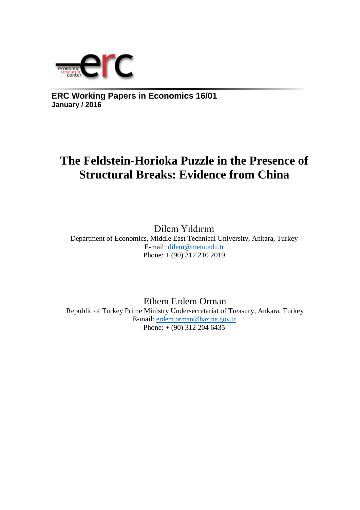

**ERC Working Papers in Economics 16/01 January / 2016**

## **The Feldstein-Horioka Puzzle in the Presence of Structural Breaks: Evidence from China**

Dilem Yıldırım Department of Economics, Middle East Technical University, Ankara, Turkey E-mail: [dilem@metu.edu.tr](mailto:dilem@metu.edu.tr)  Phone: + (90) 312 210 2019

Ethem Erdem Orman Republic of Turkey Prime Ministry Undersecretariat of Treasury, Ankara, Turkey E-mail: [erdem.orman@hazine.gov.tr](mailto:erdem.orman@hazine.gov.tr) Phone: + (90) 312 204 6435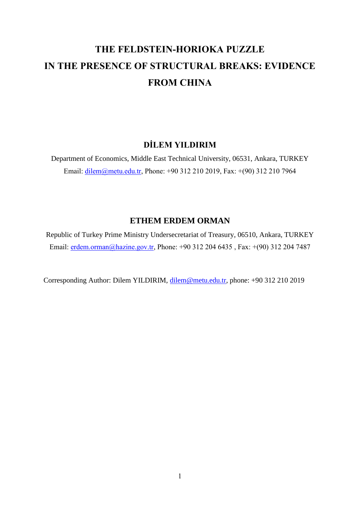# **THE FELDSTEIN-HORIOKA PUZZLE IN THE PRESENCE OF STRUCTURAL BREAKS: EVIDENCE FROM CHINA**

### **DİLEM YILDIRIM**

Department of Economics, Middle East Technical University, 06531, Ankara, TURKEY Email: [dilem@metu.edu.tr,](mailto:dilem@metu.edu.tr) Phone: +90 312 210 2019, Fax: +(90) 312 210 7964

### **ETHEM ERDEM ORMAN**

Republic of Turkey Prime Ministry Undersecretariat of Treasury, 06510, Ankara, TURKEY Email: [erdem.orman@](mailto:deger@metu.edu.tr)hazine.gov.tr, Phone: +90 312 204 6435, Fax: +(90) 312 204 7487

Corresponding Author: Dilem YILDIRIM, [dilem@metu.edu.tr,](mailto:dilem@metu.edu.tr) phone: +90 312 210 2019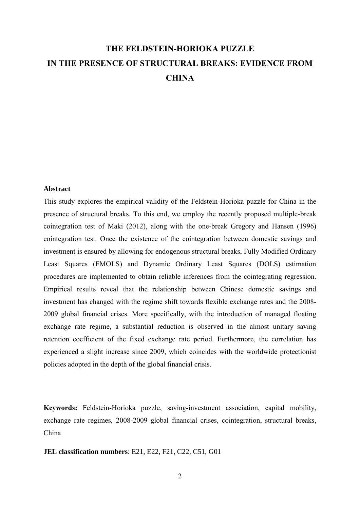## **THE FELDSTEIN-HORIOKA PUZZLE IN THE PRESENCE OF STRUCTURAL BREAKS: EVIDENCE FROM CHINA**

#### **Abstract**

This study explores the empirical validity of the Feldstein-Horioka puzzle for China in the presence of structural breaks. To this end, we employ the recently proposed multiple-break cointegration test of Maki (2012), along with the one-break Gregory and Hansen (1996) cointegration test. Once the existence of the cointegration between domestic savings and investment is ensured by allowing for endogenous structural breaks, Fully Modified Ordinary Least Squares (FMOLS) and Dynamic Ordinary Least Squares (DOLS) estimation procedures are implemented to obtain reliable inferences from the cointegrating regression. Empirical results reveal that the relationship between Chinese domestic savings and investment has changed with the regime shift towards flexible exchange rates and the 2008- 2009 global financial crises. More specifically, with the introduction of managed floating exchange rate regime, a substantial reduction is observed in the almost unitary saving retention coefficient of the fixed exchange rate period. Furthermore, the correlation has experienced a slight increase since 2009, which coincides with the worldwide protectionist policies adopted in the depth of the global financial crisis.

**Keywords:** Feldstein-Horioka puzzle, saving-investment association, capital mobility, exchange rate regimes, 2008-2009 global financial crises, cointegration, structural breaks, China

**JEL classification numbers**: E21, E22, F21, C22, C51, G01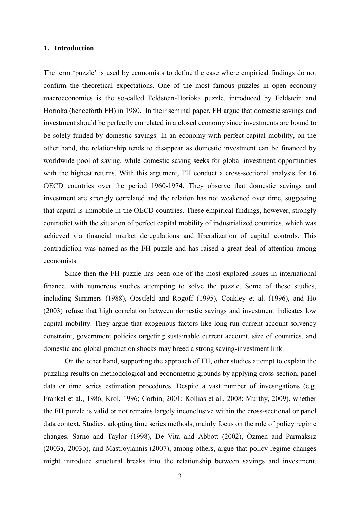#### **1. Introduction**

The term 'puzzle' is used by economists to define the case where empirical findings do not confirm the theoretical expectations. One of the most famous puzzles in open economy macroeconomics is the so-called Feldstein-Horioka puzzle, introduced by Feldstein and Horioka (henceforth FH) in 1980. In their seminal paper, FH argue that domestic savings and investment should be perfectly correlated in a closed economy since investments are bound to be solely funded by domestic savings. In an economy with perfect capital mobility, on the other hand, the relationship tends to disappear as domestic investment can be financed by worldwide pool of saving, while domestic saving seeks for global investment opportunities with the highest returns. With this argument, FH conduct a cross-sectional analysis for 16 OECD countries over the period 1960-1974. They observe that domestic savings and investment are strongly correlated and the relation has not weakened over time, suggesting that capital is immobile in the OECD countries. These empirical findings, however, strongly contradict with the situation of perfect capital mobility of industrialized countries, which was achieved via financial market deregulations and liberalization of capital controls. This contradiction was named as the FH puzzle and has raised a great deal of attention among economists.

Since then the FH puzzle has been one of the most explored issues in international finance, with numerous studies attempting to solve the puzzle. Some of these studies, including Summers (1988), Obstfeld and Rogoff (1995), Coakley et al. (1996), and Ho (2003) refuse that high correlation between domestic savings and investment indicates low capital mobility. They argue that exogenous factors like long-run current account solvency constraint, government policies targeting sustainable current account, size of countries, and domestic and global production shocks may breed a strong saving-investment link.

On the other hand, supporting the approach of FH, other studies attempt to explain the puzzling results on methodological and econometric grounds by applying cross-section, panel data or time series estimation procedures. Despite a vast number of investigations (e.g. Frankel et al., 1986; Krol, 1996; Corbin, 2001; Kollias et al., 2008; Murthy, 2009), whether the FH puzzle is valid or not remains largely inconclusive within the cross-sectional or panel data context. Studies, adopting time series methods, mainly focus on the role of policy regime changes. Sarno and Taylor (1998), De Vita and Abbott (2002), Özmen and Parmaksız (2003a, 2003b), and Mastroyiannis (2007), among others, argue that policy regime changes might introduce structural breaks into the relationship between savings and investment.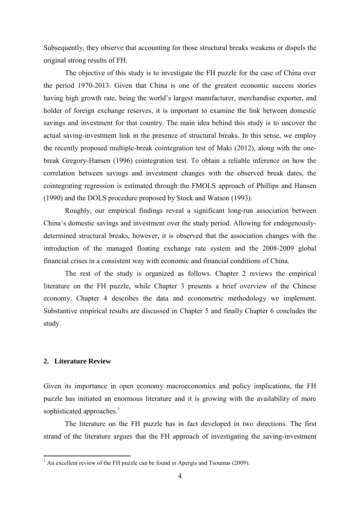Subsequently, they observe that accounting for those structural breaks weakens or dispels the original strong results of FH.

The objective of this study is to investigate the FH puzzle for the case of China over the period 1970-2013. Given that China is one of the greatest economic success stories having high growth rate, being the world's largest manufacturer, merchandise exporter, and holder of foreign exchange reserves, it is important to examine the link between domestic savings and investment for that country. The main idea behind this study is to uncover the actual saving-investment link in the presence of structural breaks. In this sense, we employ the recently proposed multiple-break cointegration test of Maki (2012), along with the onebreak Gregory-Hansen (1996) cointegration test. To obtain a reliable inference on how the correlation between savings and investment changes with the observed break dates, the cointegrating regression is estimated through the FMOLS approach of Phillips and Hansen (1990) and the DOLS procedure proposed by Stock and Watson (1993).

Roughly, our empirical findings reveal a significant long-run association between China's domestic savings and investment over the study period. Allowing for endogenouslydetermined structural breaks, however, it is observed that the association changes with the introduction of the managed floating exchange rate system and the 2008-2009 global financial crises in a consistent way with economic and financial conditions of China.

The rest of the study is organized as follows. Chapter 2 reviews the empirical literature on the FH puzzle, while Chapter 3 presents a brief overview of the Chinese economy. Chapter 4 describes the data and econometric methodology we implement. Substantive empirical results are discussed in Chapter 5 and finally Chapter 6 concludes the study.

#### **2. Literature Review**

1

Given its importance in open economy macroeconomics and policy implications, the FH puzzle has initiated an enormous literature and it is growing with the availability of more sophisticated approaches.<sup>1</sup>

The literature on the FH puzzle has in fact developed in two directions. The first strand of the literature argues that the FH approach of investigating the saving-investment

 $<sup>1</sup>$  An excellent review of the FH puzzle can be found in Apergis and Tsoumas (2009).</sup>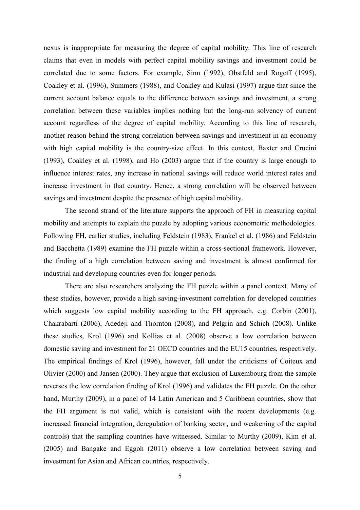nexus is inappropriate for measuring the degree of capital mobility. This line of research claims that even in models with perfect capital mobility savings and investment could be correlated due to some factors. For example, Sinn (1992), Obstfeld and Rogoff (1995), Coakley et al. (1996), Summers (1988), and Coakley and Kulasi (1997) argue that since the current account balance equals to the difference between savings and investment, a strong correlation between these variables implies nothing but the long-run solvency of current account regardless of the degree of capital mobility. According to this line of research, another reason behind the strong correlation between savings and investment in an economy with high capital mobility is the country-size effect. In this context, Baxter and Crucini (1993), Coakley et al. (1998), and Ho (2003) argue that if the country is large enough to influence interest rates, any increase in national savings will reduce world interest rates and increase investment in that country. Hence, a strong correlation will be observed between savings and investment despite the presence of high capital mobility.

The second strand of the literature supports the approach of FH in measuring capital mobility and attempts to explain the puzzle by adopting various econometric methodologies. Following FH, earlier studies, including Feldstein (1983), Frankel et al. (1986) and Feldstein and Bacchetta (1989) examine the FH puzzle within a cross-sectional framework. However, the finding of a high correlation between saving and investment is almost confirmed for industrial and developing countries even for longer periods.

There are also researchers analyzing the FH puzzle within a panel context. Many of these studies, however, provide a high saving-investment correlation for developed countries which suggests low capital mobility according to the FH approach, e.g. Corbin (2001), Chakrabarti (2006), Adedeji and Thornton (2008), and Pelgrin and Schich (2008). Unlike these studies, Krol (1996) and Kollias et al. (2008) observe a low correlation between domestic saving and investment for 21 OECD countries and the EU15 countries, respectively. The empirical findings of Krol (1996), however, fall under the criticisms of Coiteux and Olivier (2000) and Jansen (2000). They argue that exclusion of Luxembourg from the sample reverses the low correlation finding of Krol (1996) and validates the FH puzzle. On the other hand, Murthy (2009), in a panel of 14 Latin American and 5 Caribbean countries, show that the FH argument is not valid, which is consistent with the recent developments (e.g. increased financial integration, deregulation of banking sector, and weakening of the capital controls) that the sampling countries have witnessed. Similar to Murthy (2009), Kim et al. (2005) and Bangake and Eggoh (2011) observe a low correlation between saving and investment for Asian and African countries, respectively.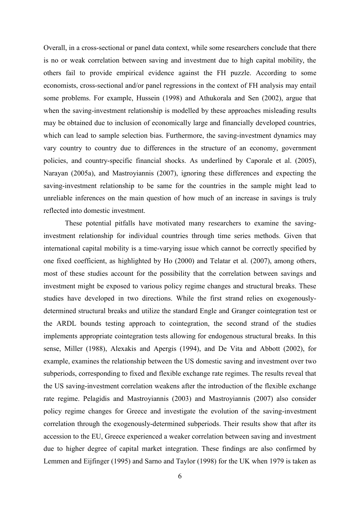Overall, in a cross-sectional or panel data context, while some researchers conclude that there is no or weak correlation between saving and investment due to high capital mobility, the others fail to provide empirical evidence against the FH puzzle. According to some economists, cross-sectional and/or panel regressions in the context of FH analysis may entail some problems. For example, Hussein (1998) and Athukorala and Sen (2002), argue that when the saving-investment relationship is modelled by these approaches misleading results may be obtained due to inclusion of economically large and financially developed countries, which can lead to sample selection bias. Furthermore, the saving-investment dynamics may vary country to country due to differences in the structure of an economy, government policies, and country-specific financial shocks. As underlined by Caporale et al. (2005), Narayan (2005a), and Mastroyiannis (2007), ignoring these differences and expecting the saving-investment relationship to be same for the countries in the sample might lead to unreliable inferences on the main question of how much of an increase in savings is truly reflected into domestic investment.

These potential pitfalls have motivated many researchers to examine the savinginvestment relationship for individual countries through time series methods. Given that international capital mobility is a time-varying issue which cannot be correctly specified by one fixed coefficient, as highlighted by Ho (2000) and Telatar et al. (2007), among others, most of these studies account for the possibility that the correlation between savings and investment might be exposed to various policy regime changes and structural breaks. These studies have developed in two directions. While the first strand relies on exogenouslydetermined structural breaks and utilize the standard Engle and Granger cointegration test or the ARDL bounds testing approach to cointegration, the second strand of the studies implements appropriate cointegration tests allowing for endogenous structural breaks. In this sense, Miller (1988), Alexakis and Apergis (1994), and De Vita and Abbott (2002), for example, examines the relationship between the US domestic saving and investment over two subperiods, corresponding to fixed and flexible exchange rate regimes. The results reveal that the US saving-investment correlation weakens after the introduction of the flexible exchange rate regime. Pelagidis and Mastroyiannis (2003) and Mastroyiannis (2007) also consider policy regime changes for Greece and investigate the evolution of the saving-investment correlation through the exogenously-determined subperiods. Their results show that after its accession to the EU, Greece experienced a weaker correlation between saving and investment due to higher degree of capital market integration. These findings are also confirmed by Lemmen and Eijfinger (1995) and Sarno and Taylor (1998) for the UK when 1979 is taken as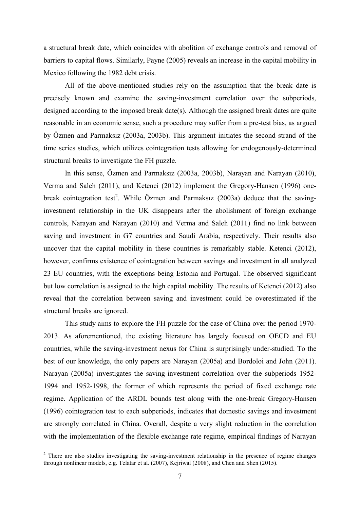a structural break date, which coincides with abolition of exchange controls and removal of barriers to capital flows. Similarly, Payne (2005) reveals an increase in the capital mobility in Mexico following the 1982 debt crisis.

All of the above-mentioned studies rely on the assumption that the break date is precisely known and examine the saving-investment correlation over the subperiods, designed according to the imposed break date(s). Although the assigned break dates are quite reasonable in an economic sense, such a procedure may suffer from a pre-test bias, as argued by Özmen and Parmaksız (2003a, 2003b). This argument initiates the second strand of the time series studies, which utilizes cointegration tests allowing for endogenously-determined structural breaks to investigate the FH puzzle.

In this sense, Özmen and Parmaksız (2003a, 2003b), Narayan and Narayan (2010), Verma and Saleh (2011), and Ketenci (2012) implement the Gregory-Hansen (1996) onebreak cointegration test<sup>2</sup>. While Özmen and Parmaksız (2003a) deduce that the savinginvestment relationship in the UK disappears after the abolishment of foreign exchange controls, Narayan and Narayan (2010) and Verma and Saleh (2011) find no link between saving and investment in G7 countries and Saudi Arabia, respectively. Their results also uncover that the capital mobility in these countries is remarkably stable. Ketenci (2012), however, confirms existence of cointegration between savings and investment in all analyzed 23 EU countries, with the exceptions being Estonia and Portugal. The observed significant but low correlation is assigned to the high capital mobility. The results of Ketenci (2012) also reveal that the correlation between saving and investment could be overestimated if the structural breaks are ignored.

This study aims to explore the FH puzzle for the case of China over the period 1970- 2013. As aforementioned, the existing literature has largely focused on OECD and EU countries, while the saving-investment nexus for China is surprisingly under-studied. To the best of our knowledge, the only papers are Narayan (2005a) and Bordoloi and John (2011). Narayan (2005a) investigates the saving-investment correlation over the subperiods 1952- 1994 and 1952-1998, the former of which represents the period of fixed exchange rate regime. Application of the ARDL bounds test along with the one-break Gregory-Hansen (1996) cointegration test to each subperiods, indicates that domestic savings and investment are strongly correlated in China. Overall, despite a very slight reduction in the correlation with the implementation of the flexible exchange rate regime, empirical findings of Narayan

1

<sup>&</sup>lt;sup>2</sup> There are also studies investigating the saving-investment relationship in the presence of regime changes through nonlinear models, e.g. Telatar et al. (2007), Kejriwal (2008), and Chen and Shen (2015).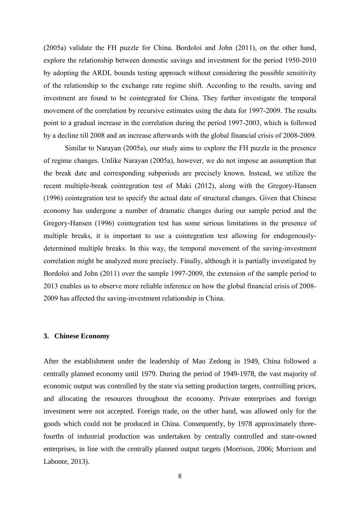(2005a) validate the FH puzzle for China. Bordoloi and John (2011), on the other hand, explore the relationship between domestic savings and investment for the period 1950-2010 by adopting the ARDL bounds testing approach without considering the possible sensitivity of the relationship to the exchange rate regime shift. According to the results, saving and investment are found to be cointegrated for China. They further investigate the temporal movement of the correlation by recursive estimates using the data for 1997-2009. The results point to a gradual increase in the correlation during the period 1997-2003, which is followed by a decline till 2008 and an increase afterwards with the global financial crisis of 2008-2009.

Similar to Narayan (2005a), our study aims to explore the FH puzzle in the presence of regime changes. Unlike Narayan (2005a), however, we do not impose an assumption that the break date and corresponding subperiods are precisely known. Instead, we utilize the recent multiple-break cointegration test of Maki (2012), along with the Gregory-Hansen (1996) cointegration test to specify the actual date of structural changes. Given that Chinese economy has undergone a number of dramatic changes during our sample period and the Gregory-Hansen (1996) cointegration test has some serious limitations in the presence of multiple breaks, it is important to use a cointegration test allowing for endogenouslydetermined multiple breaks. In this way, the temporal movement of the saving-investment correlation might be analyzed more precisely. Finally, although it is partially investigated by Bordoloi and John (2011) over the sample 1997-2009, the extension of the sample period to 2013 enables us to observe more reliable inference on how the global financial crisis of 2008- 2009 has affected the saving-investment relationship in China.

#### **3. Chinese Economy**

After the establishment under the leadership of Mao Zedong in 1949, China followed a centrally planned economy until 1979. During the period of 1949-1978, the vast majority of economic output was controlled by the state via setting production targets, controlling prices, and allocating the resources throughout the economy. Private enterprises and foreign investment were not accepted. Foreign trade, on the other hand, was allowed only for the goods which could not be produced in China. Consequently, by 1978 approximately threefourths of industrial production was undertaken by centrally controlled and state-owned enterprises, in line with the centrally planned output targets (Morrison, 2006; Morrison and Labonte, 2013).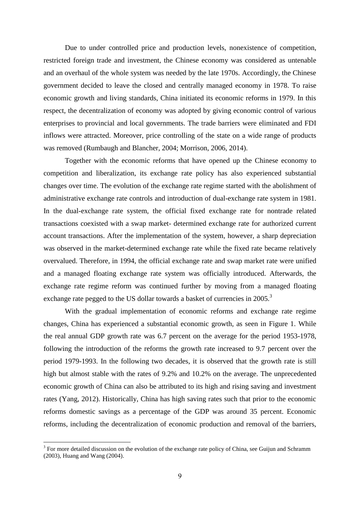Due to under controlled price and production levels, nonexistence of competition, restricted foreign trade and investment, the Chinese economy was considered as untenable and an overhaul of the whole system was needed by the late 1970s. Accordingly, the Chinese government decided to leave the closed and centrally managed economy in 1978. To raise economic growth and living standards, China initiated its economic reforms in 1979. In this respect, the decentralization of economy was adopted by giving economic control of various enterprises to provincial and local governments. The trade barriers were eliminated and FDI inflows were attracted. Moreover, price controlling of the state on a wide range of products was removed (Rumbaugh and Blancher, 2004; Morrison, 2006, 2014).

Together with the economic reforms that have opened up the Chinese economy to competition and liberalization, its exchange rate policy has also experienced substantial changes over time. The evolution of the exchange rate regime started with the abolishment of administrative exchange rate controls and introduction of dual-exchange rate system in 1981. In the dual-exchange rate system, the official fixed exchange rate for nontrade related transactions coexisted with a swap market- determined exchange rate for authorized current account transactions. After the implementation of the system, however, a sharp depreciation was observed in the market-determined exchange rate while the fixed rate became relatively overvalued. Therefore, in 1994, the official exchange rate and swap market rate were unified and a managed floating exchange rate system was officially introduced. Afterwards, the exchange rate regime reform was continued further by moving from a managed floating exchange rate pegged to the US dollar towards a basket of currencies in 2005.<sup>3</sup>

With the gradual implementation of economic reforms and exchange rate regime changes, China has experienced a substantial economic growth, as seen in Figure 1. While the real annual GDP growth rate was 6.7 percent on the average for the period 1953-1978, following the introduction of the reforms the growth rate increased to 9.7 percent over the period 1979-1993. In the following two decades, it is observed that the growth rate is still high but almost stable with the rates of 9.2% and 10.2% on the average. The unprecedented economic growth of China can also be attributed to its high and rising saving and investment rates (Yang, 2012). Historically, China has high saving rates such that prior to the economic reforms domestic savings as a percentage of the GDP was around 35 percent. Economic reforms, including the decentralization of economic production and removal of the barriers,

1

 $3$  For more detailed discussion on the evolution of the exchange rate policy of China, see Guijun and Schramm (2003), Huang and Wang (2004).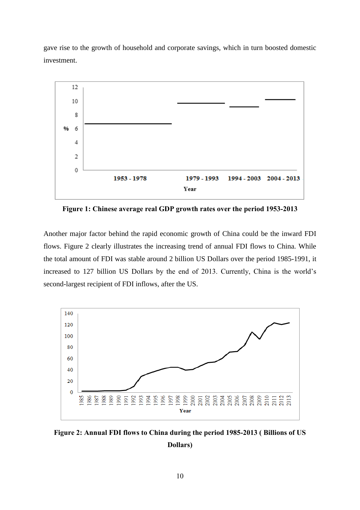gave rise to the growth of household and corporate savings, which in turn boosted domestic investment.



**Figure 1: Chinese average real GDP growth rates over the period 1953-2013**

Another major factor behind the rapid economic growth of China could be the inward FDI flows. Figure 2 clearly illustrates the increasing trend of annual FDI flows to China. While the total amount of FDI was stable around 2 billion US Dollars over the period 1985-1991, it increased to 127 billion US Dollars by the end of 2013. Currently, China is the world's second-largest recipient of FDI inflows, after the US.



**Figure 2: Annual FDI flows to China during the period 1985-2013 ( Billions of US Dollars)**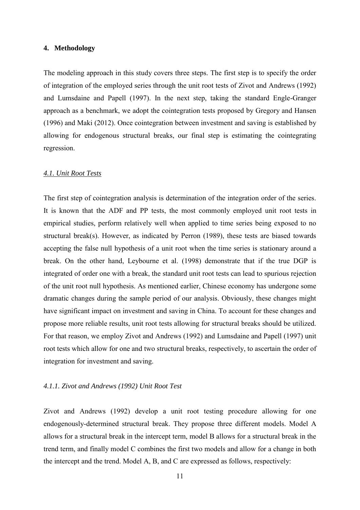#### **4. Methodology**

The modeling approach in this study covers three steps. The first step is to specify the order of integration of the employed series through the unit root tests of Zivot and Andrews (1992) and Lumsdaine and Papell (1997). In the next step, taking the standard Engle-Granger approach as a benchmark, we adopt the cointegration tests proposed by Gregory and Hansen (1996) and Maki (2012). Once cointegration between investment and saving is established by allowing for endogenous structural breaks, our final step is estimating the cointegrating regression.

#### *4.1. Unit Root Tests*

The first step of cointegration analysis is determination of the integration order of the series. It is known that the ADF and PP tests, the most commonly employed unit root tests in empirical studies, perform relatively well when applied to time series being exposed to no structural break(s). However, as indicated by Perron (1989), these tests are biased towards accepting the false null hypothesis of a unit root when the time series is stationary around a break. On the other hand, Leybourne et al. (1998) demonstrate that if the true DGP is integrated of order one with a break, the standard unit root tests can lead to spurious rejection of the unit root null hypothesis. As mentioned earlier, Chinese economy has undergone some dramatic changes during the sample period of our analysis. Obviously, these changes might have significant impact on investment and saving in China. To account for these changes and propose more reliable results, unit root tests allowing for structural breaks should be utilized. For that reason, we employ Zivot and Andrews (1992) and Lumsdaine and Papell (1997) unit root tests which allow for one and two structural breaks, respectively, to ascertain the order of integration for investment and saving.

#### *4.1.1. Zivot and Andrews (1992) Unit Root Test*

Zivot and Andrews (1992) develop a unit root testing procedure allowing for one endogenously-determined structural break. They propose three different models. Model A allows for a structural break in the intercept term, model B allows for a structural break in the trend term, and finally model C combines the first two models and allow for a change in both the intercept and the trend. Model A, B, and C are expressed as follows, respectively: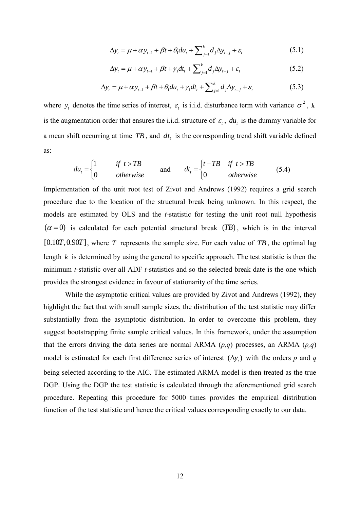$$
\Delta y_t = \mu + \alpha y_{t-1} + \beta t + \theta_1 du_t + \sum_{j=1}^k d_j \Delta y_{t-j} + \varepsilon_t
$$
\n(5.1)

$$
\Delta y_t = \mu + \alpha y_{t-1} + \beta t + \gamma_1 dt_t + \sum_{j=1}^k d_j \Delta y_{t-j} + \varepsilon_t
$$
\n(5.2)

$$
\Delta y_t = \mu + \alpha y_{t-1} + \beta t + \theta_1 du_t + \gamma_1 dt_t + \sum_{j=1}^k d_j \Delta y_{t-j} + \varepsilon_t
$$
\n(5.3)

where  $y_t$  denotes the time series of interest,  $\varepsilon_t$  is i.i.d. disturbance term with variance  $\sigma^2$ , *k* is the augmentation order that ensures the i.i.d. structure of  $\varepsilon_t$ ,  $du_t$  is the dummy variable for a mean shift occurring at time  $TB$ , and  $dt<sub>t</sub>$  is the corresponding trend shift variable defined as:

$$
du_{t} = \begin{cases} 1 & \text{if } t > TB \\ 0 & \text{otherwise} \end{cases} \quad \text{and} \quad dt_{t} = \begin{cases} t - TB & \text{if } t > TB \\ 0 & \text{otherwise} \end{cases} \tag{5.4}
$$

Implementation of the unit root test of Zivot and Andrews (1992) requires a grid search procedure due to the location of the structural break being unknown. In this respect, the models are estimated by OLS and the *t*-statistic for testing the unit root null hypothesis  $(\alpha = 0)$  is calculated for each potential structural break  $(TB)$ , which is in the interval  $[0.10T, 0.90T]$ , where T represents the sample size. For each value of TB, the optimal lag length  $k$  is determined by using the general to specific approach. The test statistic is then the minimum *t*-statistic over all ADF *t*-statistics and so the selected break date is the one which provides the strongest evidence in favour of stationarity of the time series.

While the asymptotic critical values are provided by Zivot and Andrews (1992), they highlight the fact that with small sample sizes, the distribution of the test statistic may differ substantially from the asymptotic distribution. In order to overcome this problem, they suggest bootstrapping finite sample critical values. In this framework, under the assumption that the errors driving the data series are normal ARMA  $(p,q)$  processes, an ARMA  $(p,q)$ model is estimated for each first difference series of interest  $(\Delta y_t)$  with the orders p and q being selected according to the AIC. The estimated ARMA model is then treated as the true DGP. Using the DGP the test statistic is calculated through the aforementioned grid search procedure. Repeating this procedure for 5000 times provides the empirical distribution function of the test statistic and hence the critical values corresponding exactly to our data.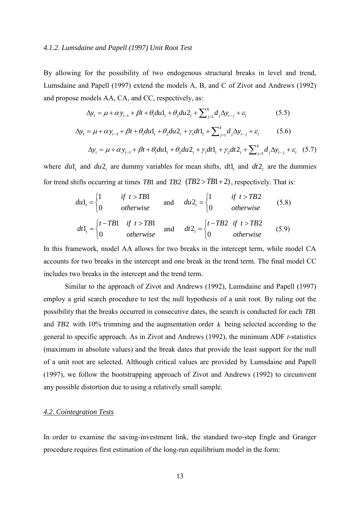#### *4.1.2. Lumsdaine and Papell (1997) Unit Root Test*

By allowing for the possibility of two endogenous structural breaks in level and trend, Lumsdaine and Papell (1997) extend the models A, B, and C of Zivot and Andrews (1992) and propose models AA, CA, and CC, respectively, as:

$$
\Delta y_t = \mu + \alpha y_{t-1} + \beta t + \theta_1 du_1 + \theta_2 du_2 + \sum_{j=1}^k d_j \Delta y_{t-j} + \varepsilon_t
$$
\n(5.5)

$$
\Delta y_{t} = \mu + \alpha y_{t-1} + \beta t + \theta_{1} du_{t} + \theta_{2} du_{t} + \gamma_{1} dt_{t} + \sum_{j=1}^{k} d_{j} \Delta y_{t-j} + \varepsilon_{t}
$$
(5.6)  

$$
\Delta y_{t} = \mu + \alpha y_{t-1} + \beta t + \theta_{1} du_{t} + \theta_{2} du_{t} + \gamma_{1} dt_{t} + \gamma_{2} dt_{t} + \sum_{j=1}^{k} d_{j} \Delta y_{t-j} + \varepsilon_{t}
$$
(5.7)

$$
\Delta y_t = \mu + \alpha y_{t-1} + \beta t + \theta_1 du_1 + \theta_2 du_2 + \gamma_1 dt_1 + \gamma_2 dt_2 + \sum_{j=1}^k d_j \Delta y_{t-j} + \varepsilon_t
$$
 (5.7)

where  $du1_t$  and  $du2_t$  are dummy variables for mean shifts,  $dt1_t$  and  $dt2_t$  are the dummies for trend shifts occurring at times *TB*1 and *TB*2  $(TB2 > TB1 + 2)$ , respectively. That is:

$$
du1_{t} = \begin{cases} 1 & \text{if } t > TB1 \\ 0 & \text{otherwise} \end{cases} \quad \text{and} \quad du2_{t} = \begin{cases} 1 & \text{if } t > TB2 \\ 0 & \text{otherwise} \end{cases} \tag{5.8}
$$
\n
$$
\begin{cases} t - TR1 & \text{if } t > TR1 \\ \end{cases} \quad \begin{cases} t - TR2 & \text{if } t > TR2 \end{cases}
$$

$$
dt1_t = \begin{cases} t - TB1 & \text{if } t > TB1 \\ 0 & \text{otherwise} \end{cases} \text{ and } dt2_t = \begin{cases} t - TB2 & \text{if } t > TB2 \\ 0 & \text{otherwise} \end{cases} (5.9)
$$

In this framework, model AA allows for two breaks in the intercept term, while model CA accounts for two breaks in the intercept and one break in the trend term. The final model CC includes two breaks in the intercept and the trend term.

Similar to the approach of Zivot and Andrews (1992), Lumsdaine and Papell (1997) employ a grid search procedure to test the null hypothesis of a unit root. By ruling out the possibility that the breaks occurred in consecutive dates, the search is conducted for each *TB*1 and  $TB2$  with 10% trimming and the augmentation order  $k$  being selected according to the general to specific approach. As in Zivot and Andrews (1992), the minimum ADF *t*-statistics (maximum in absolute values) and the break dates that provide the least support for the null of a unit root are selected. Although critical values are provided by Lumsdaine and Papell (1997), we follow the bootstrapping approach of Zivot and Andrews (1992) to circumvent any possible distortion due to using a relatively small sample.

#### *4.2. Cointegration Tests*

In order to examine the saving-investment link, the standard two-step Engle and Granger procedure requires first estimation of the long-run equilibrium model in the form: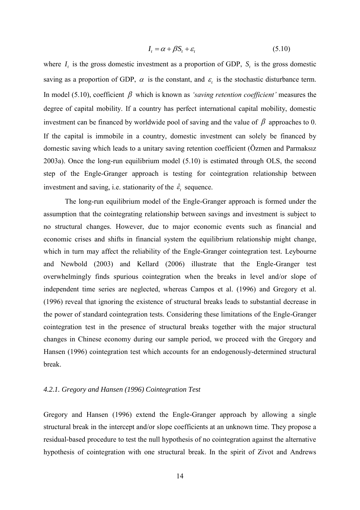$$
I_t = \alpha + \beta S_t + \varepsilon_t \tag{5.10}
$$

where  $I_t$  is the gross domestic investment as a proportion of GDP,  $S_t$  is the gross domestic saving as a proportion of GDP,  $\alpha$  is the constant, and  $\varepsilon$  is the stochastic disturbance term. In model (5.10), coefficient  $\beta$  which is known as *'saving retention coefficient'* measures the degree of capital mobility. If a country has perfect international capital mobility, domestic investment can be financed by worldwide pool of saving and the value of  $\beta$  approaches to 0. If the capital is immobile in a country, domestic investment can solely be financed by domestic saving which leads to a unitary saving retention coefficient (Özmen and Parmaksız 2003a). Once the long-run equilibrium model (5.10) is estimated through OLS, the second step of the Engle-Granger approach is testing for cointegration relationship between investment and saving, i.e. stationarity of the  $\hat{\varepsilon}_t$  sequence.

The long-run equilibrium model of the Engle-Granger approach is formed under the assumption that the cointegrating relationship between savings and investment is subject to no structural changes. However, due to major economic events such as financial and economic crises and shifts in financial system the equilibrium relationship might change, which in turn may affect the reliability of the Engle-Granger cointegration test. Leybourne and Newbold (2003) and Kellard (2006) illustrate that the Engle-Granger test overwhelmingly finds spurious cointegration when the breaks in level and/or slope of independent time series are neglected, whereas Campos et al. (1996) and Gregory et al. (1996) reveal that ignoring the existence of structural breaks leads to substantial decrease in the power of standard cointegration tests. Considering these limitations of the Engle-Granger cointegration test in the presence of structural breaks together with the major structural changes in Chinese economy during our sample period, we proceed with the Gregory and Hansen (1996) cointegration test which accounts for an endogenously-determined structural break.

#### *4.2.1. Gregory and Hansen (1996) Cointegration Test*

Gregory and Hansen (1996) extend the Engle-Granger approach by allowing a single structural break in the intercept and/or slope coefficients at an unknown time. They propose a residual-based procedure to test the null hypothesis of no cointegration against the alternative hypothesis of cointegration with one structural break. In the spirit of Zivot and Andrews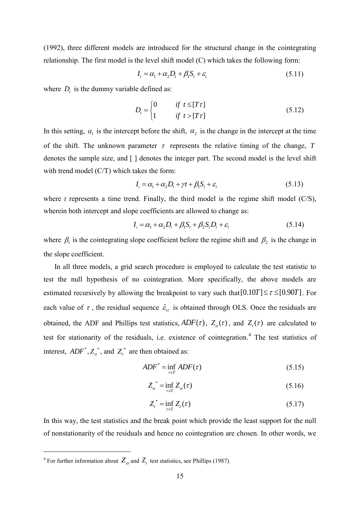(1992), three different models are introduced for the structural change in the cointegrating relationship. The first model is the level shift model (C) which takes the following form:

$$
I_t = \alpha_1 + \alpha_2 D_t + \beta_1 S_t + \varepsilon_t \tag{5.11}
$$

where  $D_t$  is the dummy variable defined as:

$$
D_t = \begin{cases} 0 & \text{if } t \leq [T\tau] \\ 1 & \text{if } t > [T\tau] \end{cases}
$$
 (5.12)

In this setting,  $\alpha_1$  is the intercept before the shift,  $\alpha_2$  is the change in the intercept at the time of the shift. The unknown parameter  $\tau$  represents the relative timing of the change,  $T$ denotes the sample size, and [ ] denotes the integer part. The second model is the level shift with trend model (C/T) which takes the form:

$$
I_{i} = \alpha_{1} + \alpha_{2}D_{t} + \gamma t + \beta_{1}S_{t} + \varepsilon_{t}
$$
\n(5.13)

where  $t$  represents a time trend. Finally, the third model is the regime shift model  $(C/S)$ , wherein both intercept and slope coefficients are allowed to change as:

$$
I_{i} = \alpha_{1} + \alpha_{2}D_{t} + \beta_{1}S_{t} + \beta_{2}S_{t}D_{t} + \varepsilon_{t}
$$
\n(5.14)

where  $\beta_1$  is the cointegrating slope coefficient before the regime shift and  $\beta_2$  is the change in the slope coefficient.

 In all three models, a grid search procedure is employed to calculate the test statistic to test the null hypothesis of no cointegration. More specifically, the above models are estimated recursively by allowing the breakpoint to vary such that  $[0.10T] \le \tau \le [0.90T]$ . For each value of  $\tau$ , the residual sequence  $\hat{\epsilon}_{tt}$  is obtained through OLS. Once the residuals are obtained, the ADF and Phillips test statistics,  $ADF(\tau)$ ,  $Z_{\alpha}(\tau)$ , and  $Z_{\tau}(\tau)$  are calculated to test for stationarity of the residuals, i.e. existence of cointegration.<sup>4</sup> The test statistics of interest,  $ADF^*$ ,  $Z_a^*$ , and  $Z_t^*$  are then obtained as:

$$
ADF^* = \inf_{\tau \in T} ADF(\tau) \tag{5.15}
$$

$$
Z_{\alpha}^* = \inf_{\tau \in T} Z_{\alpha}(\tau) \tag{5.16}
$$

$$
Z_t^* = \inf_{\tau \in T} Z_t(\tau) \tag{5.17}
$$

In this way, the test statistics and the break point which provide the least support for the null of nonstationarity of the residuals and hence no cointegration are chosen. In other words, we

1

<sup>&</sup>lt;sup>4</sup> For further information about  $Z_{\alpha}$  and  $Z_{t}$  test statistics, see Phillips (1987).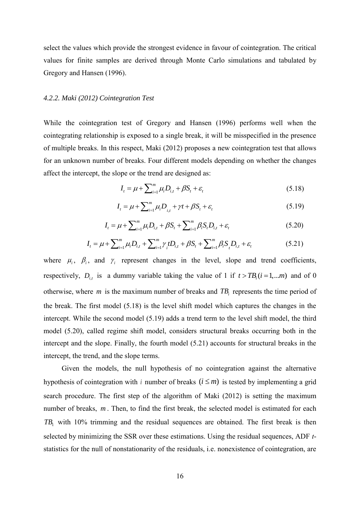select the values which provide the strongest evidence in favour of cointegration. The critical values for finite samples are derived through Monte Carlo simulations and tabulated by Gregory and Hansen (1996).

#### *4.2.2. Maki (2012) Cointegration Test*

While the cointegration test of Gregory and Hansen (1996) performs well when the cointegrating relationship is exposed to a single break, it will be misspecified in the presence of multiple breaks. In this respect, Maki (2012) proposes a new cointegration test that allows for an unknown number of breaks. Four different models depending on whether the changes affect the intercept, the slope or the trend are designed as:

$$
I_{t} = \mu + \sum_{i=1}^{m} \mu_{i} D_{i,t} + \beta S_{t} + \varepsilon_{t}
$$
\n(5.18)

$$
I_{t} = \mu + \sum_{i=1}^{m} \mu_{i} D_{i,t} + \gamma t + \beta S_{t} + \varepsilon_{t}
$$
\n(5.19)

$$
I_{t} = \mu + \sum_{i=1}^{m} \mu_{i} D_{i,t} + \beta S_{t} + \sum_{i=1}^{m} \beta_{i} S_{t} D_{i,t} + \varepsilon_{t}
$$
(5.20)

$$
I_{t} = \mu + \sum_{i=1}^{m} \mu_{i} D_{i,t} + \sum_{i=1}^{m} \gamma_{i} t D_{i,t} + \beta S_{t} + \sum_{i=1}^{m} \beta_{i} S_{t} D_{i,t} + \varepsilon_{t}
$$
(5.21)

where  $\mu_i$ ,  $\beta_i$ , and  $\gamma_i$  represent changes in the level, slope and trend coefficients, respectively,  $D_{i,t}$  is a dummy variable taking the value of 1 if  $t > TB_i (i = 1,...m)$  and of 0 otherwise, where *m* is the maximum number of breaks and  $TB<sub>i</sub>$  represents the time period of the break. The first model (5.18) is the level shift model which captures the changes in the intercept. While the second model (5.19) adds a trend term to the level shift model, the third model (5.20), called regime shift model, considers structural breaks occurring both in the intercept and the slope. Finally, the fourth model (5.21) accounts for structural breaks in the intercept, the trend, and the slope terms.

 Given the models, the null hypothesis of no cointegration against the alternative hypothesis of cointegration with *i* number of breaks  $(i \leq m)$  is tested by implementing a grid search procedure. The first step of the algorithm of Maki (2012) is setting the maximum number of breaks, m. Then, to find the first break, the selected model is estimated for each  $TB_1$  with 10% trimming and the residual sequences are obtained. The first break is then selected by minimizing the SSR over these estimations. Using the residual sequences, ADF *t*statistics for the null of nonstationarity of the residuals, i.e. nonexistence of cointegration, are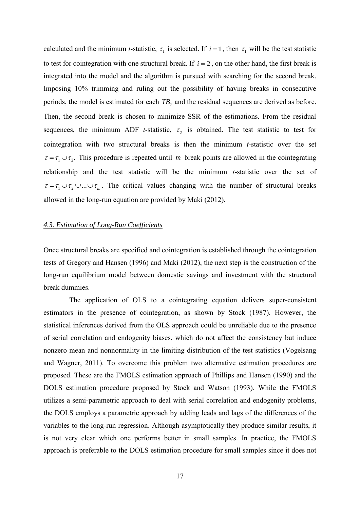calculated and the minimum *t*-statistic,  $\tau_1$  is selected. If  $i = 1$ , then  $\tau_1$  will be the test statistic to test for cointegration with one structural break. If  $i = 2$ , on the other hand, the first break is integrated into the model and the algorithm is pursued with searching for the second break. Imposing 10% trimming and ruling out the possibility of having breaks in consecutive periods, the model is estimated for each  $TB_2$  and the residual sequences are derived as before. Then, the second break is chosen to minimize SSR of the estimations. From the residual sequences, the minimum ADF *t*-statistic,  $\tau_2$  is obtained. The test statistic to test for cointegration with two structural breaks is then the minimum *t*-statistic over the set  $\tau = \tau_1 \cup \tau_2$ . This procedure is repeated until *m* break points are allowed in the cointegrating relationship and the test statistic will be the minimum *t*-statistic over the set of  $\tau = \tau_1 \cup \tau_2 \cup ... \cup \tau_m$ . The critical values changing with the number of structural breaks allowed in the long-run equation are provided by Maki (2012).

#### *4.3. Estimation of Long-Run Coefficients*

Once structural breaks are specified and cointegration is established through the cointegration tests of Gregory and Hansen (1996) and Maki (2012), the next step is the construction of the long-run equilibrium model between domestic savings and investment with the structural break dummies.

The application of OLS to a cointegrating equation delivers super-consistent estimators in the presence of cointegration, as shown by Stock (1987). However, the statistical inferences derived from the OLS approach could be unreliable due to the presence of serial correlation and endogenity biases, which do not affect the consistency but induce nonzero mean and nonnormality in the limiting distribution of the test statistics (Vogelsang and Wagner, 2011). To overcome this problem two alternative estimation procedures are proposed. These are the FMOLS estimation approach of Phillips and Hansen (1990) and the DOLS estimation procedure proposed by Stock and Watson (1993). While the FMOLS utilizes a semi-parametric approach to deal with serial correlation and endogenity problems, the DOLS employs a parametric approach by adding leads and lags of the differences of the variables to the long-run regression. Although asymptotically they produce similar results, it is not very clear which one performs better in small samples. In practice, the FMOLS approach is preferable to the DOLS estimation procedure for small samples since it does not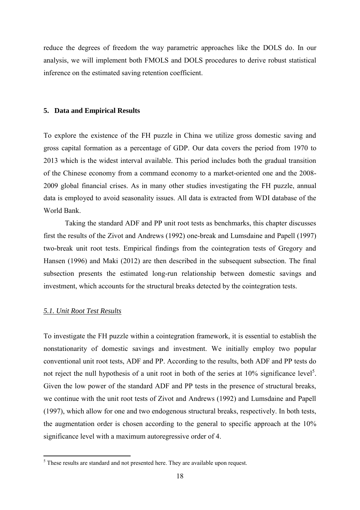reduce the degrees of freedom the way parametric approaches like the DOLS do. In our analysis, we will implement both FMOLS and DOLS procedures to derive robust statistical inference on the estimated saving retention coefficient.

#### **5. Data and Empirical Results**

To explore the existence of the FH puzzle in China we utilize gross domestic saving and gross capital formation as a percentage of GDP. Our data covers the period from 1970 to 2013 which is the widest interval available. This period includes both the gradual transition of the Chinese economy from a command economy to a market-oriented one and the 2008- 2009 global financial crises. As in many other studies investigating the FH puzzle, annual data is employed to avoid seasonality issues. All data is extracted from WDI database of the World Bank.

Taking the standard ADF and PP unit root tests as benchmarks, this chapter discusses first the results of the Zivot and Andrews (1992) one-break and Lumsdaine and Papell (1997) two-break unit root tests. Empirical findings from the cointegration tests of Gregory and Hansen (1996) and Maki (2012) are then described in the subsequent subsection. The final subsection presents the estimated long-run relationship between domestic savings and investment, which accounts for the structural breaks detected by the cointegration tests.

#### *5.1. Unit Root Test Results*

1

To investigate the FH puzzle within a cointegration framework, it is essential to establish the nonstationarity of domestic savings and investment. We initially employ two popular conventional unit root tests, ADF and PP. According to the results, both ADF and PP tests do not reject the null hypothesis of a unit root in both of the series at  $10\%$  significance level<sup>5</sup>. Given the low power of the standard ADF and PP tests in the presence of structural breaks, we continue with the unit root tests of Zivot and Andrews (1992) and Lumsdaine and Papell (1997), which allow for one and two endogenous structural breaks, respectively. In both tests, the augmentation order is chosen according to the general to specific approach at the 10% significance level with a maximum autoregressive order of 4.

 $<sup>5</sup>$  These results are standard and not presented here. They are available upon request.</sup>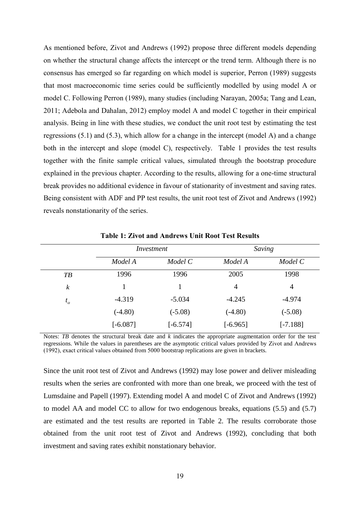As mentioned before, Zivot and Andrews (1992) propose three different models depending on whether the structural change affects the intercept or the trend term. Although there is no consensus has emerged so far regarding on which model is superior, Perron (1989) suggests that most macroeconomic time series could be sufficiently modelled by using model A or model C. Following Perron (1989), many studies (including Narayan, 2005a; Tang and Lean, 2011; Adebola and Dahalan, 2012) employ model A and model C together in their empirical analysis. Being in line with these studies, we conduct the unit root test by estimating the test regressions (5.1) and (5.3), which allow for a change in the intercept (model A) and a change both in the intercept and slope (model C), respectively. Table 1 provides the test results together with the finite sample critical values, simulated through the bootstrap procedure explained in the previous chapter. According to the results, allowing for a one-time structural break provides no additional evidence in favour of stationarity of investment and saving rates. Being consistent with ADF and PP test results, the unit root test of Zivot and Andrews (1992) reveals nonstationarity of the series.

|                  |            | Investment |            | Saving         |  |
|------------------|------------|------------|------------|----------------|--|
|                  | Model A    | Model C    | Model A    | Model C        |  |
| $T\!B$           | 1996       | 1996       | 2005       | 1998           |  |
| $\boldsymbol{k}$ |            |            | 4          | $\overline{4}$ |  |
| $t_{\alpha}$     | $-4.319$   | $-5.034$   | $-4.245$   | $-4.974$       |  |
|                  | $(-4.80)$  | $(-5.08)$  | $(-4.80)$  | $(-5.08)$      |  |
|                  | $[-6.087]$ | $[-6.574]$ | $[-6.965]$ | $[-7.188]$     |  |

**Table 1: Zivot and Andrews Unit Root Test Results**

Notes: *TB* denotes the structural break date and *k* indicates the appropriate augmentation order for the test regressions. While the values in parentheses are the asymptotic critical values provided by Zivot and Andrews (1992), exact critical values obtained from 5000 bootstrap replications are given in brackets.

Since the unit root test of Zivot and Andrews (1992) may lose power and deliver misleading results when the series are confronted with more than one break, we proceed with the test of Lumsdaine and Papell (1997). Extending model A and model C of Zivot and Andrews (1992) to model AA and model CC to allow for two endogenous breaks, equations (5.5) and (5.7) are estimated and the test results are reported in Table 2. The results corroborate those obtained from the unit root test of Zivot and Andrews (1992), concluding that both investment and saving rates exhibit nonstationary behavior.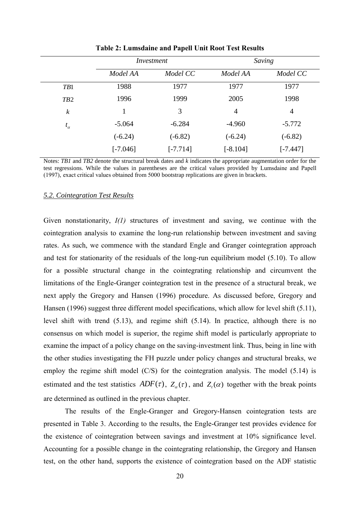|                  |            | Investment |            | Saving         |  |
|------------------|------------|------------|------------|----------------|--|
|                  | Model AA   | Model CC   | Model AA   | Model CC       |  |
| TB1              | 1988       | 1977       | 1977       | 1977           |  |
| TB <sub>2</sub>  | 1996       | 1999       | 2005       | 1998           |  |
| $\boldsymbol{k}$ |            | 3          | 4          | $\overline{4}$ |  |
| $t_{\alpha}$     | $-5.064$   | $-6.284$   | $-4.960$   | $-5.772$       |  |
|                  | $(-6.24)$  | $(-6.82)$  | $(-6.24)$  | $(-6.82)$      |  |
|                  | $[-7.046]$ | $[-7.714]$ | $[-8.104]$ | $[-7.447]$     |  |

**Table 2: Lumsdaine and Papell Unit Root Test Results**

Notes: *TB1* and *TB2* denote the structural break dates and *k* indicates the appropriate augmentation order for the test regressions. While the values in parentheses are the critical values provided by Lumsdaine and Papell (1997), exact critical values obtained from 5000 bootstrap replications are given in brackets.

#### *5.2. Cointegration Test Results*

Given nonstationarity, *I(1)* structures of investment and saving, we continue with the cointegration analysis to examine the long-run relationship between investment and saving rates. As such, we commence with the standard Engle and Granger cointegration approach and test for stationarity of the residuals of the long-run equilibrium model (5.10). To allow for a possible structural change in the cointegrating relationship and circumvent the limitations of the Engle-Granger cointegration test in the presence of a structural break, we next apply the Gregory and Hansen (1996) procedure. As discussed before, Gregory and Hansen (1996) suggest three different model specifications, which allow for level shift (5.11), level shift with trend (5.13), and regime shift (5.14). In practice, although there is no consensus on which model is superior, the regime shift model is particularly appropriate to examine the impact of a policy change on the saving-investment link. Thus, being in line with the other studies investigating the FH puzzle under policy changes and structural breaks, we employ the regime shift model (C/S) for the cointegration analysis. The model (5.14) is estimated and the test statistics  $ADF(\tau)$ ,  $Z_{\alpha}(\tau)$ , and  $Z_{\tau}(\alpha)$  together with the break points are determined as outlined in the previous chapter.

The results of the Engle-Granger and Gregory-Hansen cointegration tests are presented in Table 3. According to the results, the Engle-Granger test provides evidence for the existence of cointegration between savings and investment at 10% significance level. Accounting for a possible change in the cointegrating relationship, the Gregory and Hansen test, on the other hand, supports the existence of cointegration based on the ADF statistic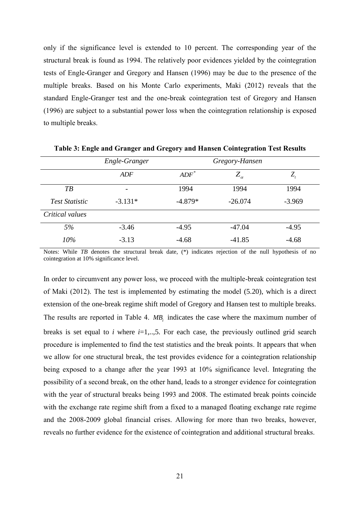only if the significance level is extended to 10 percent. The corresponding year of the structural break is found as 1994. The relatively poor evidences yielded by the cointegration tests of Engle-Granger and Gregory and Hansen (1996) may be due to the presence of the multiple breaks. Based on his Monte Carlo experiments, Maki (2012) reveals that the standard Engle-Granger test and the one-break cointegration test of Gregory and Hansen (1996) are subject to a substantial power loss when the cointegration relationship is exposed to multiple breaks.

|                       | Engle-Granger            |           | Gregory-Hansen  |                            |
|-----------------------|--------------------------|-----------|-----------------|----------------------------|
|                       | ADF                      | $ADF^*$   | $Z_{\alpha}^{}$ | $Z_{\scriptscriptstyle t}$ |
| $T\mathcal{B}$        | $\overline{\phantom{0}}$ | 1994      | 1994            | 1994                       |
| <i>Test Statistic</i> | $-3.131*$                | $-4.879*$ | $-26.074$       | $-3.969$                   |
| Critical values       |                          |           |                 |                            |
| 5%                    | $-3.46$                  | $-4.95$   | $-47.04$        | $-4.95$                    |
| $10\%$                | $-3.13$                  | $-4.68$   | $-41.85$        | $-4.68$                    |

**Table 3: Engle and Granger and Gregory and Hansen Cointegration Test Results**

Notes: While *TB* denotes the structural break date, (\*) indicates rejection of the null hypothesis of no cointegration at 10% significance level.

In order to circumvent any power loss, we proceed with the multiple-break cointegration test of Maki (2012). The test is implemented by estimating the model (5.20), which is a direct extension of the one-break regime shift model of Gregory and Hansen test to multiple breaks. The results are reported in Table 4.  $MB_i$  indicates the case where the maximum number of breaks is set equal to *i* where  $i=1,..,5$ . For each case, the previously outlined grid search procedure is implemented to find the test statistics and the break points. It appears that when we allow for one structural break, the test provides evidence for a cointegration relationship being exposed to a change after the year 1993 at 10% significance level. Integrating the possibility of a second break, on the other hand, leads to a stronger evidence for cointegration with the year of structural breaks being 1993 and 2008. The estimated break points coincide with the exchange rate regime shift from a fixed to a managed floating exchange rate regime and the 2008-2009 global financial crises. Allowing for more than two breaks, however, reveals no further evidence for the existence of cointegration and additional structural breaks.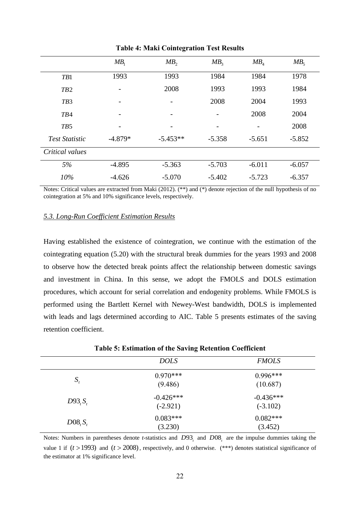|                       | $MB_1$                   | MB <sub>2</sub>          | MB <sub>3</sub> | $MB$ <sub>4</sub> | MB <sub>5</sub> |
|-----------------------|--------------------------|--------------------------|-----------------|-------------------|-----------------|
| TB1                   | 1993                     | 1993                     | 1984            | 1984              | 1978            |
| TB2                   | $\overline{\phantom{0}}$ | 2008                     | 1993            | 1993              | 1984            |
| TB <sub>3</sub>       |                          |                          | 2008            | 2004              | 1993            |
| TB4                   |                          |                          |                 | 2008              | 2004            |
| TB5                   |                          | $\overline{\phantom{0}}$ | -               | -                 | 2008            |
| <b>Test Statistic</b> | $-4.879*$                | $-5.453**$               | $-5.358$        | $-5.651$          | $-5.852$        |
| Critical values       |                          |                          |                 |                   |                 |
| 5%                    | $-4.895$                 | $-5.363$                 | $-5.703$        | $-6.011$          | $-6.057$        |
| 10%                   | $-4.626$                 | $-5.070$                 | $-5.402$        | $-5.723$          | $-6.357$        |

**Table 4: Maki Cointegration Test Results**

Notes: Critical values are extracted from Maki (2012). (\*\*) and (\*) denote rejection of the null hypothesis of no cointegration at 5% and 10% significance levels, respectively.

#### *5.3. Long-Run Coefficient Estimation Results*

Having established the existence of cointegration, we continue with the estimation of the cointegrating equation (5.20) with the structural break dummies for the years 1993 and 2008 to observe how the detected break points affect the relationship between domestic savings and investment in China. In this sense, we adopt the FMOLS and DOLS estimation procedures, which account for serial correlation and endogenity problems. While FMOLS is performed using the Bartlett Kernel with Newey-West bandwidth, DOLS is implemented with leads and lags determined according to AIC. Table 5 presents estimates of the saving retention coefficient.

|            | <b>DOLS</b>               | <b>FMOLS</b>              |
|------------|---------------------------|---------------------------|
| $S_{t}$    | $0.970***$<br>(9.486)     | $0.996***$<br>(10.687)    |
| $D93, S_t$ | $-0.426***$<br>$(-2.921)$ | $-0.436***$<br>$(-3.102)$ |
| $D08, S_t$ | $0.083***$<br>(3.230)     | $0.082***$<br>(3.452)     |

**Table 5: Estimation of the Saving Retention Coefficient**

Notes: Numbers in parentheses denote *t*-statistics and  $D93<sub>t</sub>$  and  $D08<sub>t</sub>$  are the impulse dummies taking the value 1 if  $(t > 1993)$  and  $(t > 2008)$ , respectively, and 0 otherwise. (\*\*\*) denotes statistical significance of the estimator at 1% significance level.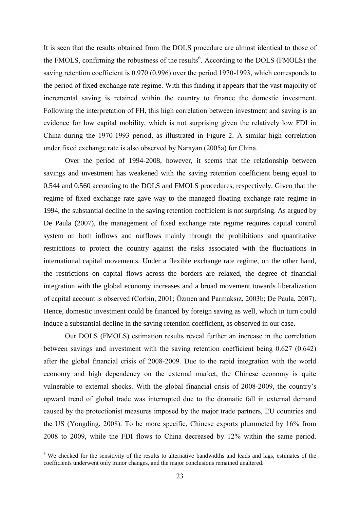It is seen that the results obtained from the DOLS procedure are almost identical to those of the FMOLS, confirming the robustness of the results<sup>6</sup>. According to the DOLS (FMOLS) the saving retention coefficient is 0.970 (0.996) over the period 1970-1993, which corresponds to the period of fixed exchange rate regime. With this finding it appears that the vast majority of incremental saving is retained within the country to finance the domestic investment. Following the interpretation of FH, this high correlation between investment and saving is an evidence for low capital mobility, which is not surprising given the relatively low FDI in China during the 1970-1993 period, as illustrated in Figure 2. A similar high correlation under fixed exchange rate is also observed by Narayan (2005a) for China.

Over the period of 1994-2008, however, it seems that the relationship between savings and investment has weakened with the saving retention coefficient being equal to 0.544 and 0.560 according to the DOLS and FMOLS procedures, respectively. Given that the regime of fixed exchange rate gave way to the managed floating exchange rate regime in 1994, the substantial decline in the saving retention coefficient is not surprising. As argued by De Paula (2007), the management of fixed exchange rate regime requires capital control system on both inflows and outflows mainly through the prohibitions and quantitative restrictions to protect the country against the risks associated with the fluctuations in international capital movements. Under a flexible exchange rate regime, on the other hand, the restrictions on capital flows across the borders are relaxed, the degree of financial integration with the global economy increases and a broad movement towards liberalization of capital account is observed (Corbin, 2001; Özmen and Parmaksız, 2003b; De Paula, 2007). Hence, domestic investment could be financed by foreign saving as well, which in turn could induce a substantial decline in the saving retention coefficient, as observed in our case.

Our DOLS (FMOLS) estimation results reveal further an increase in the correlation between savings and investment with the saving retention coefficient being 0.627 (0.642) after the global financial crisis of 2008-2009. Due to the rapid integration with the world economy and high dependency on the external market, the Chinese economy is quite vulnerable to external shocks. With the global financial crisis of 2008-2009, the country's upward trend of global trade was interrupted due to the dramatic fall in external demand caused by the protectionist measures imposed by the major trade partners, EU countries and the US (Yongding, 2008). To be more specific, Chinese exports plummeted by 16% from 2008 to 2009, while the FDI flows to China decreased by 12% within the same period.

1

<sup>&</sup>lt;sup>6</sup> We checked for the sensitivity of the results to alternative bandwidths and leads and lags, estimates of the coefficients underwent only minor changes, and the major conclusions remained unaltered.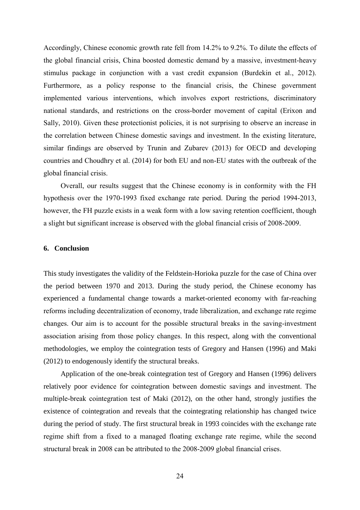Accordingly, Chinese economic growth rate fell from 14.2% to 9.2%. To dilute the effects of the global financial crisis, China boosted domestic demand by a massive, investment-heavy stimulus package in conjunction with a vast credit expansion (Burdekin et al., 2012). Furthermore, as a policy response to the financial crisis, the Chinese government implemented various interventions, which involves export restrictions, discriminatory national standards, and restrictions on the cross-border movement of capital (Erixon and Sally, 2010). Given these protectionist policies, it is not surprising to observe an increase in the correlation between Chinese domestic savings and investment. In the existing literature, similar findings are observed by Trunin and Zubarev (2013) for OECD and developing countries and Choudhry et al. (2014) for both EU and non-EU states with the outbreak of the global financial crisis.

Overall, our results suggest that the Chinese economy is in conformity with the FH hypothesis over the 1970-1993 fixed exchange rate period. During the period 1994-2013, however, the FH puzzle exists in a weak form with a low saving retention coefficient, though a slight but significant increase is observed with the global financial crisis of 2008-2009.

#### **6. Conclusion**

This study investigates the validity of the Feldstein-Horioka puzzle for the case of China over the period between 1970 and 2013. During the study period, the Chinese economy has experienced a fundamental change towards a market-oriented economy with far-reaching reforms including decentralization of economy, trade liberalization, and exchange rate regime changes. Our aim is to account for the possible structural breaks in the saving-investment association arising from those policy changes. In this respect, along with the conventional methodologies, we employ the cointegration tests of Gregory and Hansen (1996) and Maki (2012) to endogenously identify the structural breaks.

Application of the one-break cointegration test of Gregory and Hansen (1996) delivers relatively poor evidence for cointegration between domestic savings and investment. The multiple-break cointegration test of Maki (2012), on the other hand, strongly justifies the existence of cointegration and reveals that the cointegrating relationship has changed twice during the period of study. The first structural break in 1993 coincides with the exchange rate regime shift from a fixed to a managed floating exchange rate regime, while the second structural break in 2008 can be attributed to the 2008-2009 global financial crises.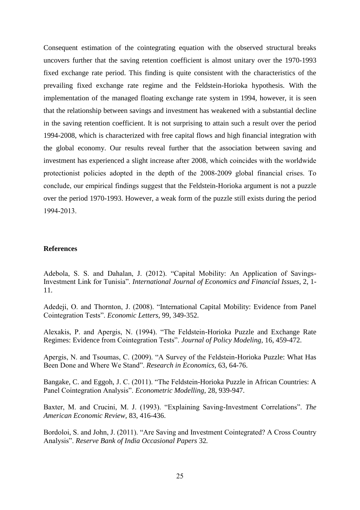Consequent estimation of the cointegrating equation with the observed structural breaks uncovers further that the saving retention coefficient is almost unitary over the 1970-1993 fixed exchange rate period. This finding is quite consistent with the characteristics of the prevailing fixed exchange rate regime and the Feldstein-Horioka hypothesis. With the implementation of the managed floating exchange rate system in 1994, however, it is seen that the relationship between savings and investment has weakened with a substantial decline in the saving retention coefficient. It is not surprising to attain such a result over the period 1994-2008, which is characterized with free capital flows and high financial integration with the global economy. Our results reveal further that the association between saving and investment has experienced a slight increase after 2008, which coincides with the worldwide protectionist policies adopted in the depth of the 2008-2009 global financial crises. To conclude, our empirical findings suggest that the Feldstein-Horioka argument is not a puzzle over the period 1970-1993. However, a weak form of the puzzle still exists during the period 1994-2013.

#### **References**

Adebola, S. S. and Dahalan, J. (2012). "Capital Mobility: An Application of Savings-Investment Link for Tunisia". *International Journal of Economics and Financial Issues,* 2, 1- 11.

Adedeji, O. and Thornton, J. (2008). "International Capital Mobility: Evidence from Panel Cointegration Tests". *Economic Letters,* 99, 349-352.

Alexakis, P. and Apergis, N. (1994). "The Feldstein-Horioka Puzzle and Exchange Rate Regimes: Evidence from Cointegration Tests". *Journal of Policy Modeling,* 16, 459-472.

Apergis, N. and Tsoumas, C. (2009). "A Survey of the Feldstein-Horioka Puzzle: What Has Been Done and Where We Stand". *Research in Economics,* 63, 64-76.

Bangake, C. and Eggoh, J. C. (2011). "The Feldstein-Horioka Puzzle in African Countries: A Panel Cointegration Analysis". *Econometric Modelling,* 28, 939-947.

Baxter, M. and Crucini, M. J. (1993). "Explaining Saving-Investment Correlations". *The American Economic Review,* 83, 416-436.

Bordoloi, S. and John, J. (2011). "Are Saving and Investment Cointegrated? A Cross Country Analysis". *Reserve Bank of India Occasional Papers* 32*.*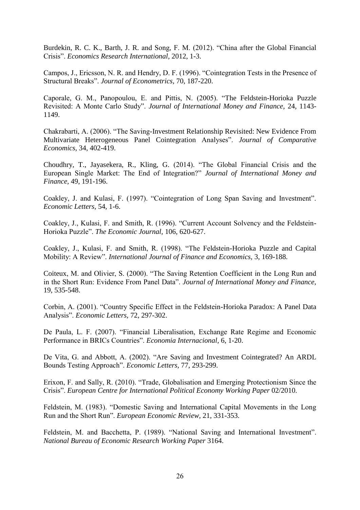Burdekin, R. C. K., Barth, J. R. and Song, F. M. (2012). "China after the Global Financial Crisis". *Economics Research International,* 2012, 1-3.

Campos, J., Ericsson, N. R. and Hendry, D. F. (1996). "Cointegration Tests in the Presence of Structural Breaks". *Journal of Econometrics,* 70, 187-220.

Caporale, G. M., Panopoulou, E. and Pittis, N. (2005). "The Feldstein-Horioka Puzzle Revisited: A Monte Carlo Study". *Journal of International Money and Finance,* 24, 1143- 1149.

Chakrabarti, A. (2006). "The Saving-Investment Relationship Revisited: New Evidence From Multivariate Heterogeneous Panel Cointegration Analyses". *Journal of Comparative Economics,* 34, 402-419.

Choudhry, T., Jayasekera, R., Kling, G. (2014). "The Global Financial Crisis and the European Single Market: The End of Integration?" *Journal of International Money and Finance,* 49, 191-196.

Coakley, J. and Kulasi, F. (1997). "Cointegration of Long Span Saving and Investment". *Economic Letters,* 54, 1-6.

Coakley, J., Kulasi, F. and Smith, R. (1996). "Current Account Solvency and the Feldstein-Horioka Puzzle". *The Economic Journal,* 106, 620-627.

Coakley, J., Kulasi, F. and Smith, R. (1998). "The Feldstein-Horioka Puzzle and Capital Mobility: A Review". *International Journal of Finance and Economics,* 3, 169-188.

Coiteux, M. and Olivier, S. (2000). "The Saving Retention Coefficient in the Long Run and in the Short Run: Evidence From Panel Data". *Journal of International Money and Finance,*  19, 535-548.

Corbin, A. (2001). "Country Specific Effect in the Feldstein-Horioka Paradox: A Panel Data Analysis". *Economic Letters,* 72, 297-302.

De Paula, L. F. (2007). "Financial Liberalisation, Exchange Rate Regime and Economic Performance in BRICs Countries". *Economia Internacional,* 6, 1-20.

De Vita, G. and Abbott, A. (2002). "Are Saving and Investment Cointegrated? An ARDL Bounds Testing Approach". *Economic Letters,* 77, 293-299.

Erixon, F. and Sally, R. (2010). "Trade, Globalisation and Emerging Protectionism Since the Crisis". *European Centre for International Political Economy Working Paper* 02/2010.

Feldstein, M. (1983). "Domestic Saving and International Capital Movements in the Long Run and the Short Run". *European Economic Review,* 21, 331-353.

Feldstein, M. and Bacchetta, P. (1989). "National Saving and International Investment". *National Bureau of Economic Research Working Paper* 3164.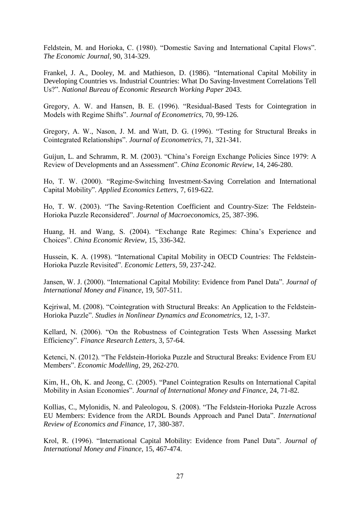Feldstein, M. and Horioka, C. (1980). "Domestic Saving and International Capital Flows". *The Economic Journal,* 90, 314-329.

Frankel, J. A., Dooley, M. and Mathieson, D. (1986). "International Capital Mobility in Developing Countries vs. Industrial Countries: What Do Saving-Investment Correlations Tell Us?". *National Bureau of Economic Research Working Paper* 2043.

Gregory, A. W. and Hansen, B. E. (1996). "Residual-Based Tests for Cointegration in Models with Regime Shifts". *Journal of Econometrics,* 70, 99-126.

Gregory, A. W., Nason, J. M. and Watt, D. G. (1996). "Testing for Structural Breaks in Cointegrated Relationships". *Journal of Econometrics,* 71, 321-341.

Guijun, L. and Schramm, R. M. (2003). "China's Foreign Exchange Policies Since 1979: A Review of Developments and an Assessment". *China Economic Review,* 14, 246-280.

Ho, T. W. (2000). "Regime-Switching Investment-Saving Correlation and International Capital Mobility". *Applied Economics Letters,* 7, 619-622.

Ho, T. W. (2003). "The Saving-Retention Coefficient and Country-Size: The Feldstein-Horioka Puzzle Reconsidered". *Journal of Macroeconomics,* 25, 387-396.

Huang, H. and Wang, S. (2004). "Exchange Rate Regimes: China's Experience and Choices". *China Economic Review,* 15, 336-342.

Hussein, K. A. (1998). "International Capital Mobility in OECD Countries: The Feldstein-Horioka Puzzle Revisited". *Economic Letters,* 59, 237-242.

Jansen, W. J. (2000). "International Capital Mobility: Evidence from Panel Data". *Journal of International Money and Finance,* 19, 507-511.

Kejriwal, M. (2008). "Cointegration with Structural Breaks: An Application to the Feldstein-Horioka Puzzle". *Studies in Nonlinear Dynamics and Econometrics,* 12, 1-37.

Kellard, N. (2006). "On the Robustness of Cointegration Tests When Assessing Market Efficiency". *Finance Research Letters,* 3, 57-64.

Ketenci, N. (2012). "The Feldstein-Horioka Puzzle and Structural Breaks: Evidence From EU Members". *Economic Modelling,* 29, 262-270.

Kim, H., Oh, K. and Jeong, C. (2005). "Panel Cointegration Results on International Capital Mobility in Asian Economies". *Journal of International Money and Finance,* 24, 71-82.

Kollias, C., Mylonidis, N. and Paleologou, S. (2008). "The Feldstein-Horioka Puzzle Across EU Members: Evidence from the ARDL Bounds Approach and Panel Data". *International Review of Economics and Finance,* 17, 380-387.

Krol, R. (1996). "International Capital Mobility: Evidence from Panel Data". *Journal of International Money and Finance,* 15, 467-474.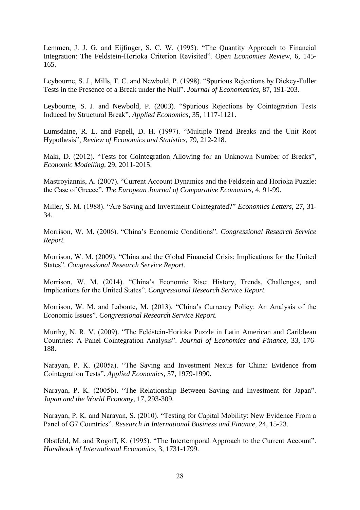Lemmen, J. J. G. and Eijfinger, S. C. W. (1995). "The Quantity Approach to Financial Integration: The Feldstein-Horioka Criterion Revisited". *Open Economies Review,* 6, 145- 165.

Leybourne, S. J., Mills, T. C. and Newbold, P. (1998). "Spurious Rejections by Dickey-Fuller Tests in the Presence of a Break under the Null". *Journal of Econometrics,* 87, 191-203.

Leybourne, S. J. and Newbold, P. (2003). "Spurious Rejections by Cointegration Tests Induced by Structural Break". *Applied Economics,* 35, 1117-1121.

Lumsdaine, R. L. and Papell, D. H. (1997). "Multiple Trend Breaks and the Unit Root Hypothesis", *Review of Economics and Statistics,* 79, 212-218.

Maki, D. (2012). "Tests for Cointegration Allowing for an Unknown Number of Breaks", *Economic Modelling,* 29, 2011-2015.

Mastroyiannis, A. (2007). "Current Account Dynamics and the Feldstein and Horioka Puzzle: the Case of Greece". *The European Journal of Comparative Economics,* 4, 91-99.

Miller, S. M. (1988). "Are Saving and Investment Cointegrated?" *Economics Letters,* 27, 31- 34.

Morrison, W. M. (2006). "China's Economic Conditions". *Congressional Research Service Report.*

Morrison, W. M. (2009). "China and the Global Financial Crisis: Implications for the United States". *Congressional Research Service Report.*

Morrison, W. M. (2014). "China's Economic Rise: History, Trends, Challenges, and Implications for the United States". *Congressional Research Service Report.*

Morrison, W. M. and Labonte, M. (2013). "China's Currency Policy: An Analysis of the Economic Issues". *Congressional Research Service Report.*

Murthy, N. R. V. (2009). "The Feldstein-Horioka Puzzle in Latin American and Caribbean Countries: A Panel Cointegration Analysis". *Journal of Economics and Finance,* 33, 176- 188.

Narayan, P. K. (2005a). "The Saving and Investment Nexus for China: Evidence from Cointegration Tests". *Applied Economics,* 37, 1979-1990.

Narayan, P. K. (2005b). "The Relationship Between Saving and Investment for Japan". *Japan and the World Economy,* 17, 293-309.

Narayan, P. K. and Narayan, S. (2010). "Testing for Capital Mobility: New Evidence From a Panel of G7 Countries". *Research in International Business and Finance,* 24, 15-23.

Obstfeld, M. and Rogoff, K. (1995). "The Intertemporal Approach to the Current Account". *Handbook of International Economics,* 3, 1731-1799.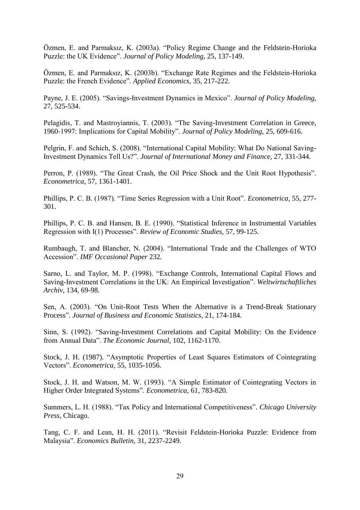Özmen, E. and Parmaksız, K. (2003a). "Policy Regime Change and the Feldstein-Horioka Puzzle: the UK Evidence". *Journal of Policy Modeling,* 25, 137-149.

Özmen, E. and Parmaksız, K. (2003b). "Exchange Rate Regimes and the Feldstein-Horioka Puzzle: the French Evidence". *Applied Economics,* 35, 217-222.

Payne, J. E. (2005). "Savings-Investment Dynamics in Mexico". *Journal of Policy Modeling,*  27, 525-534.

Pelagidis, T. and Mastroyiannis, T. (2003). "The Saving-Investment Correlation in Greece, 1960-1997: Implications for Capital Mobility". *Journal of Policy Modeling,* 25, 609-616.

Pelgrin, F. and Schich, S. (2008). "International Capital Mobility: What Do National Saving-Investment Dynamics Tell Us?". *Journal of International Money and Finance,* 27, 331-344.

Perron, P. (1989). "The Great Crash, the Oil Price Shock and the Unit Root Hypothesis". *Econometrica,* 57, 1361-1401.

Phillips, P. C. B. (1987). "Time Series Regression with a Unit Root". *Econometrica,* 55, 277- 301.

Phillips, P. C. B. and Hansen, B. E. (1990). "Statistical Inference in Instrumental Variables Regression with I(1) Processes". *Review of Economic Studies,* 57, 99-125.

Rumbaugh, T. and Blancher, N. (2004). "International Trade and the Challenges of WTO Accession". *IMF Occasional Paper* 232*.*

Sarno, L. and Taylor, M. P. (1998). "Exchange Controls, International Capital Flows and Saving-Investment Correlations in the UK: An Empirical Investigation". *Weltwirtschaftliches Archiv,* 134, 69-98.

Sen, A. (2003). "On Unit-Root Tests When the Alternative is a Trend-Break Stationary Process". *Journal of Business and Economic Statistics,* 21, 174-184.

Sinn, S. (1992). "Saving-Investment Correlations and Capital Mobility: On the Evidence from Annual Data". *The Economic Journal,* 102, 1162-1170.

Stock, J. H. (1987). "Asymptotic Properties of Least Squares Estimators of Cointegrating Vectors". *Econometrica,* 55, 1035-1056.

Stock, J. H. and Watson, M. W. (1993). "A Simple Estimator of Cointegrating Vectors in Higher Order Integrated Systems". *Econometrica,* 61, 783-820.

Summers, L. H. (1988). "Tax Policy and International Competitiveness". *Chicago University Press,* Chicago.

Tang, C. F. and Lean, H. H. (2011). "Revisit Feldstein-Horioka Puzzle: Evidence from Malaysia". *Economics Bulletin,* 31, 2237-2249.